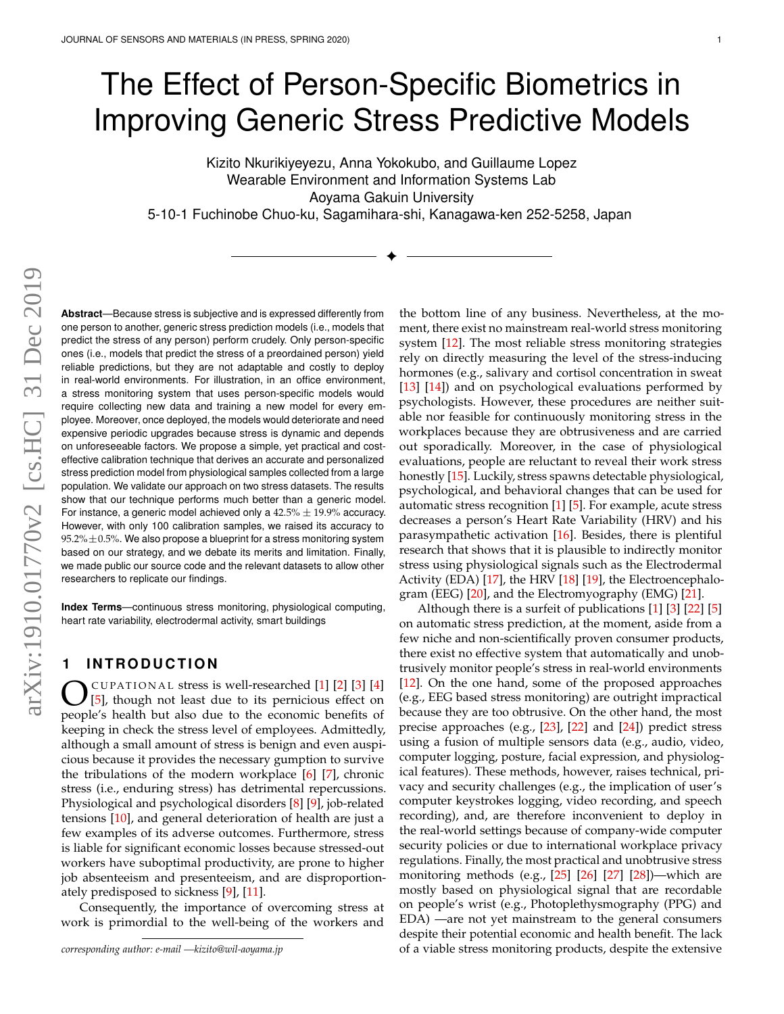# The Effect of Person-Specific Biometrics in Improving Generic Stress Predictive Models

Kizito Nkurikiyeyezu, Anna Yokokubo, and Guillaume Lopez Wearable Environment and Information Systems Lab Aoyama Gakuin University 5-10-1 Fuchinobe Chuo-ku, Sagamihara-shi, Kanagawa-ken 252-5258, Japan

✦

**Abstract**—Because stress is subjective and is expressed differently from one person to another, generic stress prediction models (i.e., models that predict the stress of any person) perform crudely. Only person-specific ones (i.e., models that predict the stress of a preordained person) yield reliable predictions, but they are not adaptable and costly to deploy in real-world environments. For illustration, in an office environment, a stress monitoring system that uses person-specific models would require collecting new data and training a new model for every employee. Moreover, once deployed, the models would deteriorate and need expensive periodic upgrades because stress is dynamic and depends on unforeseeable factors. We propose a simple, yet practical and costeffective calibration technique that derives an accurate and personalized stress prediction model from physiological samples collected from a large population. We validate our approach on two stress datasets. The results show that our technique performs much better than a generic model. For instance, a generic model achieved only a  $42.5\% \pm 19.9\%$  accuracy. However, with only 100 calibration samples, we raised its accuracy to  $95.2\% \pm 0.5\%$ . We also propose a blueprint for a stress monitoring system based on our strategy, and we debate its merits and limitation. Finally, we made public our source code and the relevant datasets to allow other researchers to replicate our findings.

**Index Terms**—continuous stress monitoring, physiological computing, heart rate variability, electrodermal activity, smart buildings

# <span id="page-0-0"></span>**1 INTRODUCTION**

**C**CUPATIONAL stress is well-researched [1] [2] [3] [4] [5], though not least due to its pernicious effect on people's health but also due to the economic benefits of CUPATIONAL stress is well-researched  $[1]$   $[2]$   $[3]$   $[4]$ [\[5\]](#page-10-4), though not least due to its pernicious effect on keeping in check the stress level of employees. Admittedly, although a small amount of stress is benign and even auspicious because it provides the necessary gumption to survive the tribulations of the modern workplace [\[6\]](#page-10-5) [\[7\]](#page-10-6), chronic stress (i.e., enduring stress) has detrimental repercussions. Physiological and psychological disorders [\[8\]](#page-10-7) [\[9\]](#page-10-8), job-related tensions [\[10\]](#page-10-9), and general deterioration of health are just a few examples of its adverse outcomes. Furthermore, stress is liable for significant economic losses because stressed-out workers have suboptimal productivity, are prone to higher job absenteeism and presenteeism, and are disproportionately predisposed to sickness [\[9\]](#page-10-8), [\[11\]](#page-10-10).

Consequently, the importance of overcoming stress at work is primordial to the well-being of the workers and

the bottom line of any business. Nevertheless, at the moment, there exist no mainstream real-world stress monitoring system [\[12\]](#page-10-11). The most reliable stress monitoring strategies rely on directly measuring the level of the stress-inducing hormones (e.g., salivary and cortisol concentration in sweat [\[13\]](#page-10-12) [\[14\]](#page-10-13)) and on psychological evaluations performed by psychologists. However, these procedures are neither suitable nor feasible for continuously monitoring stress in the workplaces because they are obtrusiveness and are carried out sporadically. Moreover, in the case of physiological evaluations, people are reluctant to reveal their work stress honestly [\[15\]](#page-10-14). Luckily, stress spawns detectable physiological, psychological, and behavioral changes that can be used for automatic stress recognition [\[1\]](#page-10-0) [\[5\]](#page-10-4). For example, acute stress decreases a person's Heart Rate Variability (HRV) and his parasympathetic activation [\[16\]](#page-10-15). Besides, there is plentiful research that shows that it is plausible to indirectly monitor stress using physiological signals such as the Electrodermal Activity (EDA) [\[17\]](#page-10-16), the HRV [\[18\]](#page-10-17) [\[19\]](#page-10-18), the Electroencephalo-gram (EEG) [\[20\]](#page-10-19), and the Electromyography (EMG) [\[21\]](#page-10-20).

Although there is a surfeit of publications [\[1\]](#page-10-0) [\[3\]](#page-10-2) [\[22\]](#page-10-21) [\[5\]](#page-10-4) on automatic stress prediction, at the moment, aside from a few niche and non-scientifically proven consumer products, there exist no effective system that automatically and unobtrusively monitor people's stress in real-world environments [\[12\]](#page-10-11). On the one hand, some of the proposed approaches (e.g., EEG based stress monitoring) are outright impractical because they are too obtrusive. On the other hand, the most precise approaches (e.g., [\[23\]](#page-10-22), [\[22\]](#page-10-21) and [\[24\]](#page-10-23)) predict stress using a fusion of multiple sensors data (e.g., audio, video, computer logging, posture, facial expression, and physiological features). These methods, however, raises technical, privacy and security challenges (e.g., the implication of user's computer keystrokes logging, video recording, and speech recording), and, are therefore inconvenient to deploy in the real-world settings because of company-wide computer security policies or due to international workplace privacy regulations. Finally, the most practical and unobtrusive stress monitoring methods (e.g., [\[25\]](#page-10-24) [\[26\]](#page-10-25) [\[27\]](#page-10-26) [\[28\]](#page-10-27))—which are mostly based on physiological signal that are recordable on people's wrist (e.g., Photoplethysmography (PPG) and EDA) —are not yet mainstream to the general consumers despite their potential economic and health benefit. The lack of a viable stress monitoring products, despite the extensive

*corresponding author: e-mail —kizito@wil-aoyama.jp*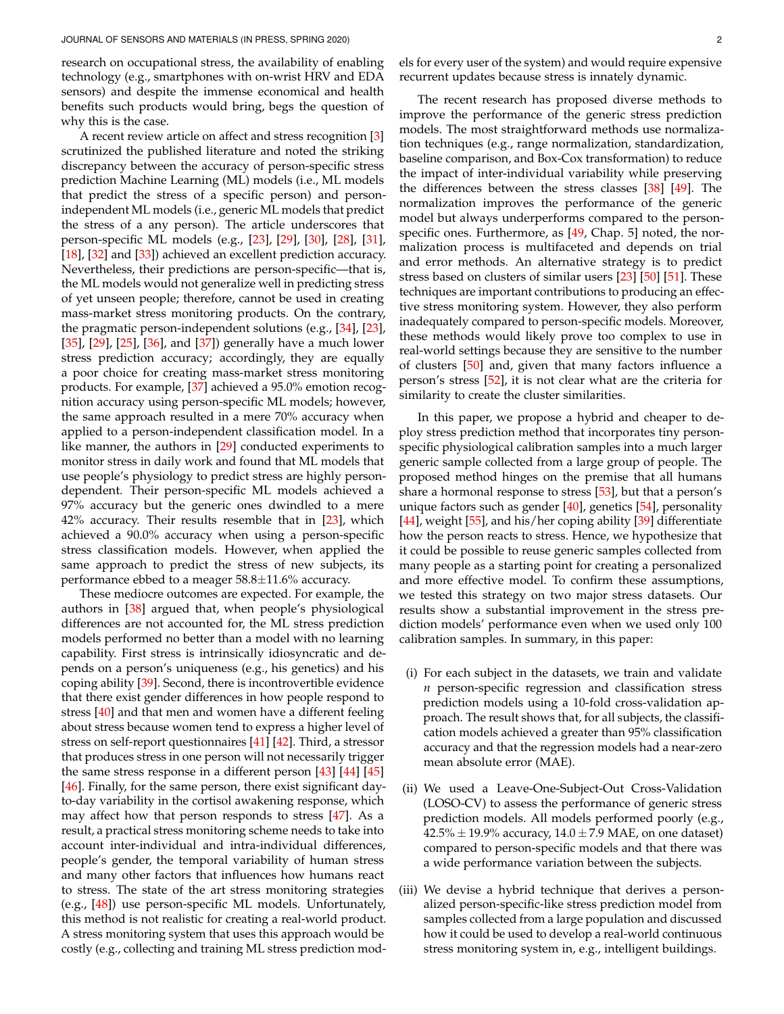research on occupational stress, the availability of enabling technology (e.g., smartphones with on-wrist HRV and EDA sensors) and despite the immense economical and health benefits such products would bring, begs the question of why this is the case.

A recent review article on affect and stress recognition [\[3\]](#page-10-2) scrutinized the published literature and noted the striking discrepancy between the accuracy of person-specific stress prediction Machine Learning (ML) models (i.e., ML models that predict the stress of a specific person) and personindependent ML models (i.e., generic ML models that predict the stress of a any person). The article underscores that person-specific ML models (e.g., [\[23\]](#page-10-22), [\[29\]](#page-10-28), [\[30\]](#page-10-29), [\[28\]](#page-10-27), [\[31\]](#page-10-30), [\[18\]](#page-10-17), [\[32\]](#page-10-31) and [\[33\]](#page-10-32)) achieved an excellent prediction accuracy. Nevertheless, their predictions are person-specific—that is, the ML models would not generalize well in predicting stress of yet unseen people; therefore, cannot be used in creating mass-market stress monitoring products. On the contrary, the pragmatic person-independent solutions (e.g., [\[34\]](#page-10-33), [\[23\]](#page-10-22), [\[35\]](#page-10-34), [\[29\]](#page-10-28), [\[25\]](#page-10-24), [\[36\]](#page-10-35), and [\[37\]](#page-10-36)) generally have a much lower stress prediction accuracy; accordingly, they are equally a poor choice for creating mass-market stress monitoring products. For example, [\[37\]](#page-10-36) achieved a 95.0% emotion recognition accuracy using person-specific ML models; however, the same approach resulted in a mere 70% accuracy when applied to a person-independent classification model. In a like manner, the authors in [\[29\]](#page-10-28) conducted experiments to monitor stress in daily work and found that ML models that use people's physiology to predict stress are highly persondependent. Their person-specific ML models achieved a 97% accuracy but the generic ones dwindled to a mere 42% accuracy. Their results resemble that in [\[23\]](#page-10-22), which achieved a 90.0% accuracy when using a person-specific stress classification models. However, when applied the same approach to predict the stress of new subjects, its performance ebbed to a meager 58.8±11.6% accuracy.

These mediocre outcomes are expected. For example, the authors in [\[38\]](#page-10-37) argued that, when people's physiological differences are not accounted for, the ML stress prediction models performed no better than a model with no learning capability. First stress is intrinsically idiosyncratic and depends on a person's uniqueness (e.g., his genetics) and his coping ability [\[39\]](#page-10-38). Second, there is incontrovertible evidence that there exist gender differences in how people respond to stress [\[40\]](#page-10-39) and that men and women have a different feeling about stress because women tend to express a higher level of stress on self-report questionnaires [\[41\]](#page-10-40) [\[42\]](#page-11-0). Third, a stressor that produces stress in one person will not necessarily trigger the same stress response in a different person [\[43\]](#page-11-1) [\[44\]](#page-11-2) [\[45\]](#page-11-3) [\[46\]](#page-11-4). Finally, for the same person, there exist significant dayto-day variability in the cortisol awakening response, which may affect how that person responds to stress [\[47\]](#page-11-5). As a result, a practical stress monitoring scheme needs to take into account inter-individual and intra-individual differences, people's gender, the temporal variability of human stress and many other factors that influences how humans react to stress. The state of the art stress monitoring strategies (e.g., [\[48\]](#page-11-6)) use person-specific ML models. Unfortunately, this method is not realistic for creating a real-world product. A stress monitoring system that uses this approach would be costly (e.g., collecting and training ML stress prediction models for every user of the system) and would require expensive recurrent updates because stress is innately dynamic.

The recent research has proposed diverse methods to improve the performance of the generic stress prediction models. The most straightforward methods use normalization techniques (e.g., range normalization, standardization, baseline comparison, and Box-Cox transformation) to reduce the impact of inter-individual variability while preserving the differences between the stress classes [\[38\]](#page-10-37) [\[49\]](#page-11-7). The normalization improves the performance of the generic model but always underperforms compared to the person-specific ones. Furthermore, as [\[49,](#page-11-7) Chap. 5] noted, the normalization process is multifaceted and depends on trial and error methods. An alternative strategy is to predict stress based on clusters of similar users [\[23\]](#page-10-22) [\[50\]](#page-11-8) [\[51\]](#page-11-9). These techniques are important contributions to producing an effective stress monitoring system. However, they also perform inadequately compared to person-specific models. Moreover, these methods would likely prove too complex to use in real-world settings because they are sensitive to the number of clusters [\[50\]](#page-11-8) and, given that many factors influence a person's stress [\[52\]](#page-11-10), it is not clear what are the criteria for similarity to create the cluster similarities.

In this paper, we propose a hybrid and cheaper to deploy stress prediction method that incorporates tiny personspecific physiological calibration samples into a much larger generic sample collected from a large group of people. The proposed method hinges on the premise that all humans share a hormonal response to stress [\[53\]](#page-11-11), but that a person's unique factors such as gender [\[40\]](#page-10-39), genetics [\[54\]](#page-11-12), personality [\[44\]](#page-11-2), weight [\[55\]](#page-11-13), and his/her coping ability [\[39\]](#page-10-38) differentiate how the person reacts to stress. Hence, we hypothesize that it could be possible to reuse generic samples collected from many people as a starting point for creating a personalized and more effective model. To confirm these assumptions, we tested this strategy on two major stress datasets. Our results show a substantial improvement in the stress prediction models' performance even when we used only 100 calibration samples. In summary, in this paper:

- (i) For each subject in the datasets, we train and validate *n* person-specific regression and classification stress prediction models using a 10-fold cross-validation approach. The result shows that, for all subjects, the classification models achieved a greater than 95% classification accuracy and that the regression models had a near-zero mean absolute error (MAE).
- (ii) We used a Leave-One-Subject-Out Cross-Validation (LOSO-CV) to assess the performance of generic stress prediction models. All models performed poorly (e.g.,  $42.5\% \pm 19.9\%$  accuracy,  $14.0 \pm 7.9$  MAE, on one dataset) compared to person-specific models and that there was a wide performance variation between the subjects.
- (iii) We devise a hybrid technique that derives a personalized person-specific-like stress prediction model from samples collected from a large population and discussed how it could be used to develop a real-world continuous stress monitoring system in, e.g., intelligent buildings.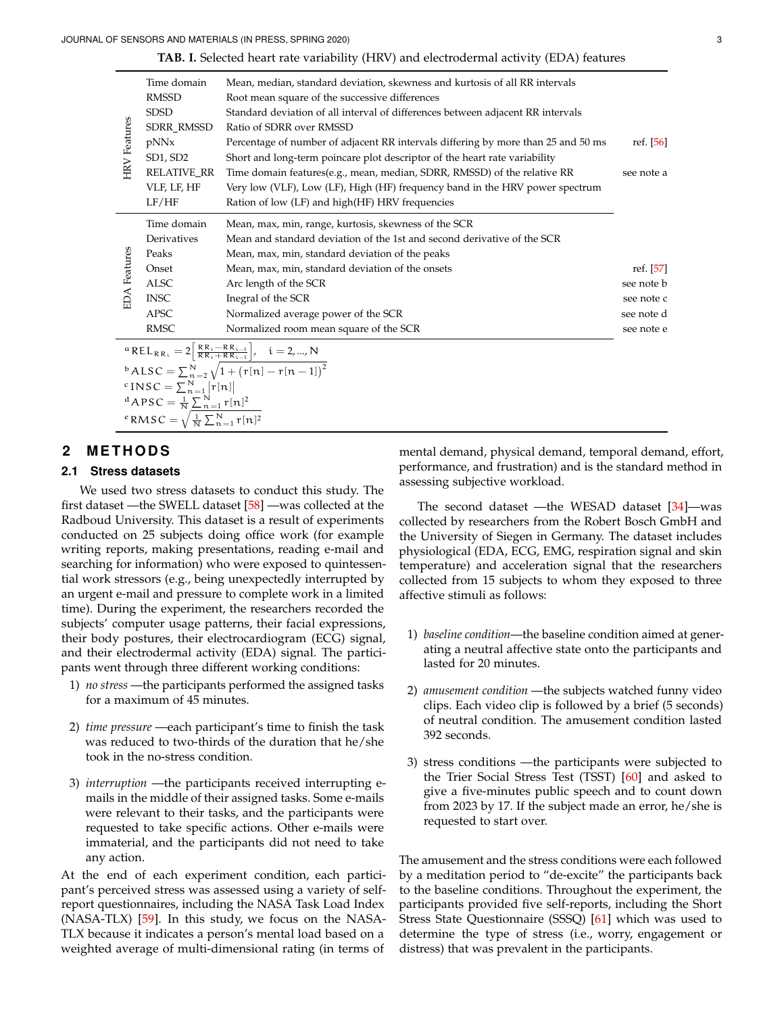<span id="page-2-0"></span>

| <b>HRV</b> Features | Time domain<br><b>RMSSD</b><br><b>SDSD</b><br>SDRR_RMSSD     | Mean, median, standard deviation, skewness and kurtosis of all RR intervals<br>Root mean square of the successive differences<br>Standard deviation of all interval of differences between adjacent RR intervals<br>Ratio of SDRR over RMSSD |                          |
|---------------------|--------------------------------------------------------------|----------------------------------------------------------------------------------------------------------------------------------------------------------------------------------------------------------------------------------------------|--------------------------|
|                     | pNNx<br>SD1, SD2                                             | Percentage of number of adjacent RR intervals differing by more than 25 and 50 ms<br>Short and long-term poincare plot descriptor of the heart rate variability                                                                              | ref. [56]                |
|                     | <b>RELATIVE_RR</b><br>VLF, LF, HF<br>LF/HF                   | Time domain features(e.g., mean, median, SDRR, RMSSD) of the relative RR<br>Very low (VLF), Low (LF), High (HF) frequency band in the HRV power spectrum<br>Ration of low (LF) and high(HF) HRV frequencies                                  | see note a               |
| EDA Features        | Time domain<br>Derivatives<br>Peaks                          | Mean, max, min, range, kurtosis, skewness of the SCR<br>Mean and standard deviation of the 1st and second derivative of the SCR<br>Mean, max, min, standard deviation of the peaks                                                           |                          |
|                     | Onset                                                        | Mean, max, min, standard deviation of the onsets                                                                                                                                                                                             | ref. [57]                |
|                     | <b>ALSC</b><br><b>INSC</b>                                   | Arc length of the SCR                                                                                                                                                                                                                        | see note b               |
|                     | APSC                                                         | Inegral of the SCR<br>Normalized average power of the SCR                                                                                                                                                                                    | see note c<br>see note d |
|                     | <b>RMSC</b>                                                  | Normalized room mean square of the SCR                                                                                                                                                                                                       | see note e               |
|                     |                                                              |                                                                                                                                                                                                                                              |                          |
|                     |                                                              | a REL <sub>RR<sub>i</sub></sub> = $2\left[\frac{RR_1 - RR_{1-1}}{RR_1 + RR_{1-1}}\right]$ , <b>i</b> = 2, , N<br><b>b</b> ALSC = $\sum_{n=2}^{N} \sqrt{1 + (r[n] - r[n-1])^2}$                                                               |                          |
|                     | <sup>c</sup> INSC = $\sum_{n=1}^{N}  r[n] $                  |                                                                                                                                                                                                                                              |                          |
|                     | ${}^{n}ABC = \frac{1}{N} \sum_{n=1}^{N} r[n]^2$              |                                                                                                                                                                                                                                              |                          |
|                     | <sup>e</sup> RMSC = $\sqrt{\frac{1}{N}\sum_{n=1}^{N}r[n]^2}$ |                                                                                                                                                                                                                                              |                          |

#### **TAB. I.** Selected heart rate variability (HRV) and electrodermal activity (EDA) features

# **2 M E T H O D S**

## <span id="page-2-1"></span>**2.1 Stress datasets**

We used two stress datasets to conduct this study. The first dataset —the SWELL dataset [\[58\]](#page-11-16) —was collected at the Radboud University. This dataset is a result of experiments conducted on 25 subjects doing office work (for example writing reports, making presentations, reading e-mail and searching for information) who were exposed to quintessential work stressors (e.g., being unexpectedly interrupted by an urgent e-mail and pressure to complete work in a limited time). During the experiment, the researchers recorded the subjects' computer usage patterns, their facial expressions, their body postures, their electrocardiogram (ECG) signal, and their electrodermal activity (EDA) signal. The participants went through three different working conditions:

- 1) *no stress* —the participants performed the assigned tasks for a maximum of 45 minutes.
- 2) *time pressure* —each participant's time to finish the task was reduced to two-thirds of the duration that he/she took in the no-stress condition.
- 3) *interruption* —the participants received interrupting emails in the middle of their assigned tasks. Some e-mails were relevant to their tasks, and the participants were requested to take specific actions. Other e-mails were immaterial, and the participants did not need to take any action.

At the end of each experiment condition, each participant's perceived stress was assessed using a variety of selfreport questionnaires, including the NASA Task Load Index (NASA-TLX) [\[59\]](#page-11-17). In this study, we focus on the NASA-TLX because it indicates a person's mental load based on a weighted average of multi-dimensional rating (in terms of

mental demand, physical demand, temporal demand, effort, performance, and frustration) and is the standard method in assessing subjective workload.

The second dataset —the WESAD dataset [\[34\]](#page-10-33)—was collected by researchers from the Robert Bosch GmbH and the University of Siegen in Germany. The dataset includes physiological (EDA, ECG, EMG, respiration signal and skin temperature) and acceleration signal that the researchers collected from 15 subjects to whom they exposed to three affective stimuli as follows:

- 1) *baseline condition*—the baseline condition aimed at generating a neutral affective state onto the participants and lasted for 20 minutes.
- 2) *amusement condition* —the subjects watched funny video clips. Each video clip is followed by a brief (5 seconds) of neutral condition. The amusement condition lasted 392 seconds.
- 3) stress conditions —the participants were subjected to the Trier Social Stress Test (TSST) [\[60\]](#page-11-18) and asked to give a five-minutes public speech and to count down from 2023 by 17. If the subject made an error, he/she is requested to start over.

The amusement and the stress conditions were each followed by a meditation period to "de-excite" the participants back to the baseline conditions. Throughout the experiment, the participants provided five self-reports, including the Short Stress State Questionnaire (SSSQ) [\[61\]](#page-11-19) which was used to determine the type of stress (i.e., worry, engagement or distress) that was prevalent in the participants.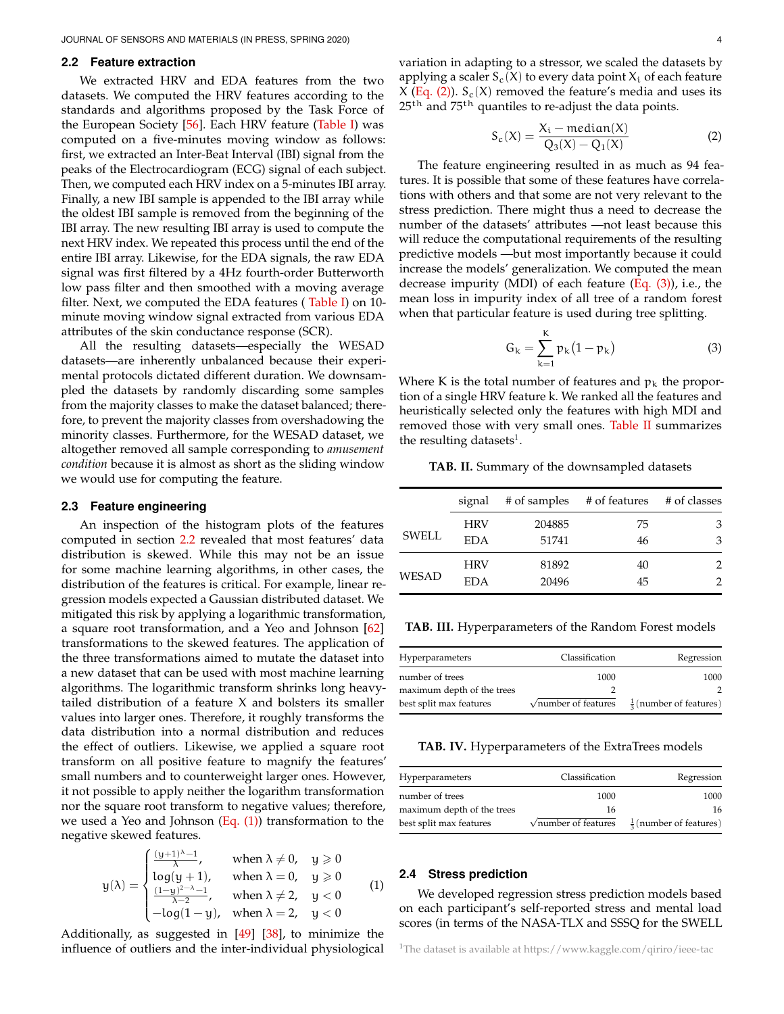#### <span id="page-3-0"></span>**2.2 Feature extraction**

We extracted HRV and EDA features from the two datasets. We computed the HRV features according to the standards and algorithms proposed by the Task Force of the European Society [\[56\]](#page-11-14). Each HRV feature [\(Table I\)](#page-2-0) was computed on a five-minutes moving window as follows: first, we extracted an Inter-Beat Interval (IBI) signal from the peaks of the Electrocardiogram (ECG) signal of each subject. Then, we computed each HRV index on a 5-minutes IBI array. Finally, a new IBI sample is appended to the IBI array while the oldest IBI sample is removed from the beginning of the IBI array. The new resulting IBI array is used to compute the next HRV index. We repeated this process until the end of the entire IBI array. Likewise, for the EDA signals, the raw EDA signal was first filtered by a 4Hz fourth-order Butterworth low pass filter and then smoothed with a moving average filter. Next, we computed the EDA features ( [Table I\)](#page-2-0) on 10 minute moving window signal extracted from various EDA attributes of the skin conductance response (SCR).

All the resulting datasets—especially the WESAD datasets—are inherently unbalanced because their experimental protocols dictated different duration. We downsampled the datasets by randomly discarding some samples from the majority classes to make the dataset balanced; therefore, to prevent the majority classes from overshadowing the minority classes. Furthermore, for the WESAD dataset, we altogether removed all sample corresponding to *amusement condition* because it is almost as short as the sliding window we would use for computing the feature.

#### <span id="page-3-8"></span>**2.3 Feature engineering**

An inspection of the histogram plots of the features computed in section [2.2](#page-3-0) revealed that most features' data distribution is skewed. While this may not be an issue for some machine learning algorithms, in other cases, the distribution of the features is critical. For example, linear regression models expected a Gaussian distributed dataset. We mitigated this risk by applying a logarithmic transformation, a square root transformation, and a Yeo and Johnson [\[62\]](#page-11-20) transformations to the skewed features. The application of the three transformations aimed to mutate the dataset into a new dataset that can be used with most machine learning algorithms. The logarithmic transform shrinks long heavytailed distribution of a feature X and bolsters its smaller values into larger ones. Therefore, it roughly transforms the data distribution into a normal distribution and reduces the effect of outliers. Likewise, we applied a square root transform on all positive feature to magnify the features' small numbers and to counterweight larger ones. However, it not possible to apply neither the logarithm transformation nor the square root transform to negative values; therefore, we used a Yeo and Johnson  $(Eq. (1))$  transformation to the negative skewed features.

<span id="page-3-1"></span>
$$
y(\lambda) = \begin{cases} \frac{(y+1)^{\lambda} - 1}{\lambda}, & \text{when } \lambda \neq 0, y \geq 0\\ \log(y+1), & \text{when } \lambda = 0, y \geq 0\\ \frac{(1-y)^{2-\lambda} - 1}{\lambda - 2}, & \text{when } \lambda \neq 2, y < 0\\ -\log(1-y), & \text{when } \lambda = 2, y < 0 \end{cases}
$$
(1)

Additionally, as suggested in [\[49\]](#page-11-7) [\[38\]](#page-10-37), to minimize the influence of outliers and the inter-individual physiological variation in adapting to a stressor, we scaled the datasets by applying a scaler  $S_c(X)$  to every data point  $X_i$  of each feature  $X$  [\(Eq. \(2\)\)](#page-3-2).  $S_c(X)$  removed the feature's media and uses its  $25<sup>th</sup>$  and  $75<sup>th</sup>$  quantiles to re-adjust the data points.

<span id="page-3-2"></span>
$$
S_c(X) = \frac{X_i - \text{median}(X)}{Q_3(X) - Q_1(X)}
$$
(2)

The feature engineering resulted in as much as 94 features. It is possible that some of these features have correlations with others and that some are not very relevant to the stress prediction. There might thus a need to decrease the number of the datasets' attributes —not least because this will reduce the computational requirements of the resulting predictive models —but most importantly because it could increase the models' generalization. We computed the mean decrease impurity (MDI) of each feature  $(Eq. (3))$ , i.e., the mean loss in impurity index of all tree of a random forest when that particular feature is used during tree splitting.

<span id="page-3-3"></span>
$$
G_{k} = \sum_{k=1}^{K} p_{k} (1 - p_{k})
$$
 (3)

Where K is the total number of features and  $p_k$  the proportion of a single HRV feature k. We ranked all the features and heuristically selected only the features with high MDI and removed those with very small ones. Table  $II$  summarizes the resulting datasets<sup>[1](#page-3-5)</sup>.

<span id="page-3-4"></span>**TAB. II.** Summary of the downsampled datasets

|              | signal     |        | # of samples # of features # of classes |   |
|--------------|------------|--------|-----------------------------------------|---|
|              | <b>HRV</b> | 204885 | 75                                      | 3 |
| SWELL        | <b>EDA</b> | 51741  | 46                                      | 3 |
|              | <b>HRV</b> | 81892  | 40                                      | 2 |
| <b>WESAD</b> | <b>EDA</b> | 20496  | 45                                      | 2 |

<span id="page-3-6"></span>**TAB. III.** Hyperparameters of the Random Forest models

| Hyperparameters            | Classification                     | Regression                         |
|----------------------------|------------------------------------|------------------------------------|
| number of trees            | 1000                               | 1000                               |
| maximum depth of the trees |                                    |                                    |
| best split max features    | $\sqrt{\text{number of features}}$ | $\frac{1}{2}$ (number of features) |

<span id="page-3-7"></span>**TAB. IV.** Hyperparameters of the ExtraTrees models

| Hyperparameters            | Classification                     | Regression                         |
|----------------------------|------------------------------------|------------------------------------|
| number of trees            | 1000                               | 1000                               |
| maximum depth of the trees | 16                                 | 16                                 |
| best split max features    | $\sqrt{\text{number of features}}$ | $\frac{1}{2}$ (number of features) |

## **2.4 Stress prediction**

We developed regression stress prediction models based on each participant's self-reported stress and mental load scores (in terms of the NASA-TLX and SSSQ for the SWELL

<span id="page-3-5"></span><sup>1</sup>The dataset is available at <https://www.kaggle.com/qiriro/ieee-tac>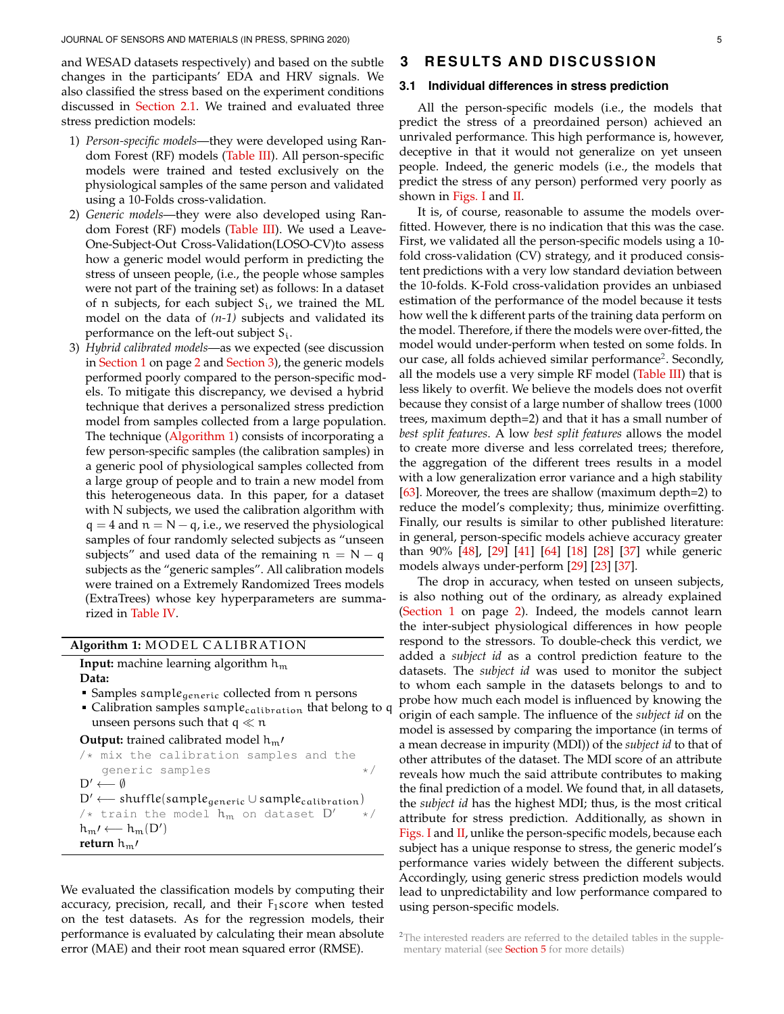and WESAD datasets respectively) and based on the subtle changes in the participants' EDA and HRV signals. We also classified the stress based on the experiment conditions discussed in [Section 2.1.](#page-2-1) We trained and evaluated three stress prediction models:

- 1) *Person-specific models*—they were developed using Random Forest (RF) models [\(Table III\)](#page-3-6). All person-specific models were trained and tested exclusively on the physiological samples of the same person and validated using a 10-Folds cross-validation.
- 2) *Generic models*—they were also developed using Ran-dom Forest (RF) models [\(Table III\)](#page-3-6). We used a Leave-One-Subject-Out Cross-Validation(LOSO-CV)to assess how a generic model would perform in predicting the stress of unseen people, (i.e., the people whose samples were not part of the training set) as follows: In a dataset of n subjects, for each subject  $S_i$ , we trained the ML model on the data of *(n-1)* subjects and validated its performance on the left-out subject  $S_i$ .
- 3) *Hybrid calibrated models*—as we expected (see discussion in [Section 1](#page-0-0) on page [2](#page-0-0) and [Section 3\)](#page-4-0), the generic models performed poorly compared to the person-specific models. To mitigate this discrepancy, we devised a hybrid technique that derives a personalized stress prediction model from samples collected from a large population. The technique [\(Algorithm 1\)](#page-4-1) consists of incorporating a few person-specific samples (the calibration samples) in a generic pool of physiological samples collected from a large group of people and to train a new model from this heterogeneous data. In this paper, for a dataset with N subjects, we used the calibration algorithm with  $q = 4$  and  $n = N - q$ , i.e., we reserved the physiological samples of four randomly selected subjects as "unseen subjects" and used data of the remaining  $n = N - q$ subjects as the "generic samples". All calibration models were trained on a Extremely Randomized Trees models (ExtraTrees) whose key hyperparameters are summarized in [Table IV.](#page-3-7)

#### Algorithm 1: MODEL CALIBRATION

**Input:** machine learning algorithm  $h_m$ **Data:**

- Samples sample<sub>generic</sub> collected from n persons
- Calibration samples sample<sub>calibration</sub> that belong to q unseen persons such that  $\mathfrak{q} \ll \mathfrak{n}$

**Output:** trained calibrated model  $h_m$ 

```
/* mix the calibration samples and the
   generic samples */
D' \longleftarrow \emptyset
```

```
D' ← shuffle(sample<sub>generic</sub> ∪ sample<sub>calibration</sub>)
/* train the model h_m on dataset D'*/
h_m / \longleftarrow h_m(D')return h_m
```
<span id="page-4-1"></span>We evaluated the classification models by computing their accuracy, precision, recall, and their  $F_1$ score when tested on the test datasets. As for the regression models, their performance is evaluated by calculating their mean absolute error (MAE) and their root mean squared error (RMSE).

## <span id="page-4-0"></span>**3 RESULTS AND DISCUSSION**

## <span id="page-4-3"></span>**3.1 Individual differences in stress prediction**

All the person-specific models (i.e., the models that predict the stress of a preordained person) achieved an unrivaled performance. This high performance is, however, deceptive in that it would not generalize on yet unseen people. Indeed, the generic models (i.e., the models that predict the stress of any person) performed very poorly as shown in [Figs. I](#page-5-0) and [II.](#page-5-1)

It is, of course, reasonable to assume the models overfitted. However, there is no indication that this was the case. First, we validated all the person-specific models using a 10 fold cross-validation (CV) strategy, and it produced consistent predictions with a very low standard deviation between the 10-folds. K-Fold cross-validation provides an unbiased estimation of the performance of the model because it tests how well the k different parts of the training data perform on the model. Therefore, if there the models were over-fitted, the model would under-perform when tested on some folds. In our case, all folds achieved similar performance<sup>[2](#page-4-2)</sup>. Secondly, all the models use a very simple RF model [\(Table III\)](#page-3-6) that is less likely to overfit. We believe the models does not overfit because they consist of a large number of shallow trees (1000 trees, maximum depth=2) and that it has a small number of *best split features*. A low *best split features* allows the model to create more diverse and less correlated trees; therefore, the aggregation of the different trees results in a model with a low generalization error variance and a high stability [\[63\]](#page-11-21). Moreover, the trees are shallow (maximum depth=2) to reduce the model's complexity; thus, minimize overfitting. Finally, our results is similar to other published literature: in general, person-specific models achieve accuracy greater than 90% [\[48\]](#page-11-6), [\[29\]](#page-10-28) [\[41\]](#page-10-40) [\[64\]](#page-11-22) [\[18\]](#page-10-17) [\[28\]](#page-10-27) [\[37\]](#page-10-36) while generic models always under-perform [\[29\]](#page-10-28) [\[23\]](#page-10-22) [\[37\]](#page-10-36).

The drop in accuracy, when tested on unseen subjects, is also nothing out of the ordinary, as already explained [\(Section 1](#page-0-0) on page [2\)](#page-0-0). Indeed, the models cannot learn the inter-subject physiological differences in how people respond to the stressors. To double-check this verdict, we added a *subject id* as a control prediction feature to the datasets. The *subject id* was used to monitor the subject to whom each sample in the datasets belongs to and to probe how much each model is influenced by knowing the origin of each sample. The influence of the *subject id* on the model is assessed by comparing the importance (in terms of a mean decrease in impurity (MDI)) of the *subject id* to that of other attributes of the dataset. The MDI score of an attribute reveals how much the said attribute contributes to making the final prediction of a model. We found that, in all datasets, the *subject id* has the highest MDI; thus, is the most critical attribute for stress prediction. Additionally, as shown in [Figs. I](#page-5-0) and [II,](#page-5-1) unlike the person-specific models, because each subject has a unique response to stress, the generic model's performance varies widely between the different subjects. Accordingly, using generic stress prediction models would lead to unpredictability and low performance compared to using person-specific models.

<span id="page-4-2"></span><sup>&</sup>lt;sup>2</sup>The interested readers are referred to the detailed tables in the supplementary material (see [Section 5](#page-9-0) for more details)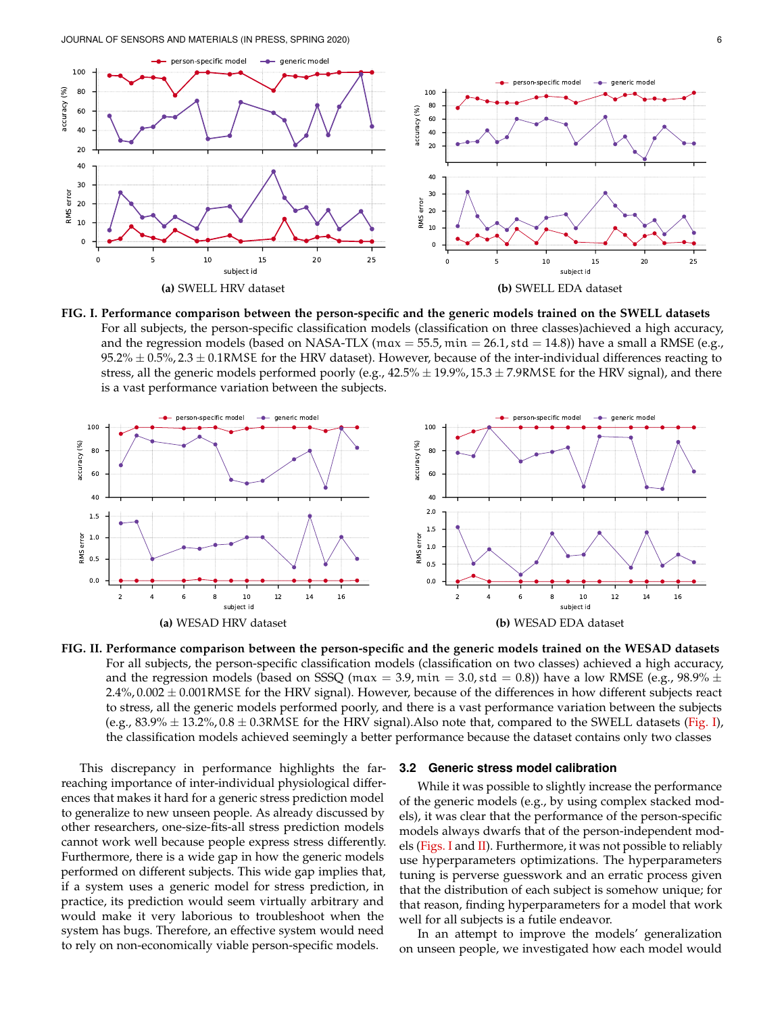<span id="page-5-0"></span>

**FIG. I. Performance comparison between the person-specific and the generic models trained on the SWELL datasets** For all subjects, the person-specific classification models (classification on three classes)achieved a high accuracy, and the regression models (based on NASA-TLX ( $max = 55.5$ ,  $min = 26.1$ ,  $std = 14.8$ )) have a small a RMSE (e.g.,  $95.2\% \pm 0.5\%, 2.3 \pm 0.1$ RMSE for the HRV dataset). However, because of the inter-individual differences reacting to stress, all the generic models performed poorly (e.g.,  $42.5\% \pm 19.9\%$ ,  $15.3 \pm 7.9$ RMSE for the HRV signal), and there is a vast performance variation between the subjects.

<span id="page-5-1"></span>

**FIG. II. Performance comparison between the person-specific and the generic models trained on the WESAD datasets** For all subjects, the person-specific classification models (classification on two classes) achieved a high accuracy, and the regression models (based on SSSQ (max = 3.9, min = 3.0, std = 0.8)) have a low RMSE (e.g., 98.9%  $\pm$  $2.4\%, 0.002 \pm 0.001$ RMSE for the HRV signal). However, because of the differences in how different subjects react to stress, all the generic models performed poorly, and there is a vast performance variation between the subjects (e.g.,  $83.9\% \pm 13.2\%$ ,  $0.8 \pm 0.3$ RMSE for the HRV signal). Also note that, compared to the SWELL datasets [\(Fig. I\)](#page-5-0), the classification models achieved seemingly a better performance because the dataset contains only two classes

This discrepancy in performance highlights the farreaching importance of inter-individual physiological differences that makes it hard for a generic stress prediction model to generalize to new unseen people. As already discussed by other researchers, one-size-fits-all stress prediction models cannot work well because people express stress differently. Furthermore, there is a wide gap in how the generic models performed on different subjects. This wide gap implies that, if a system uses a generic model for stress prediction, in practice, its prediction would seem virtually arbitrary and would make it very laborious to troubleshoot when the system has bugs. Therefore, an effective system would need to rely on non-economically viable person-specific models.

#### <span id="page-5-2"></span>**3.2 Generic stress model calibration**

While it was possible to slightly increase the performance of the generic models (e.g., by using complex stacked models), it was clear that the performance of the person-specific models always dwarfs that of the person-independent mod-els [\(Figs. I](#page-5-0) and  $\Pi$ ). Furthermore, it was not possible to reliably use hyperparameters optimizations. The hyperparameters tuning is perverse guesswork and an erratic process given that the distribution of each subject is somehow unique; for that reason, finding hyperparameters for a model that work well for all subjects is a futile endeavor.

In an attempt to improve the models' generalization on unseen people, we investigated how each model would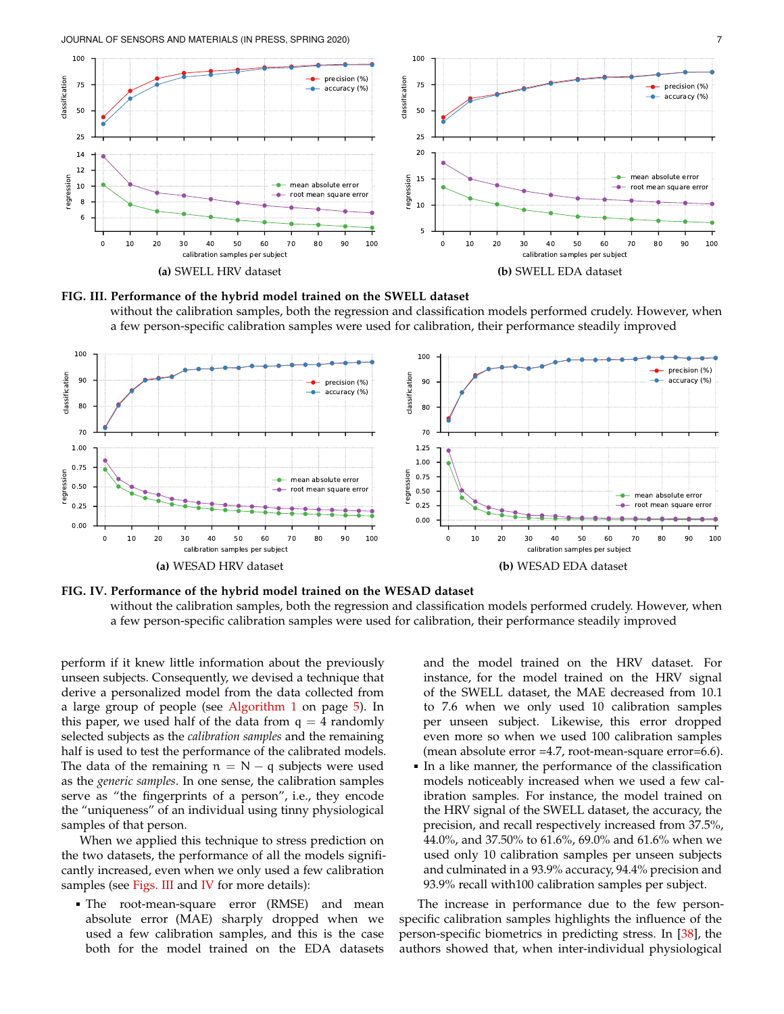JOURNAL OF SENSORS AND MATERIALS (IN PRESS, SPRING 2020) 7

<span id="page-6-0"></span>

**FIG. III. Performance of the hybrid model trained on the SWELL dataset** without the calibration samples, both the regression and classification models performed crudely. However, when a few person-specific calibration samples were used for calibration, their performance steadily improved

<span id="page-6-1"></span>

**FIG. IV. Performance of the hybrid model trained on the WESAD dataset** without the calibration samples, both the regression and classification models performed crudely. However, when a few person-specific calibration samples were used for calibration, their performance steadily improved

perform if it knew little information about the previously unseen subjects. Consequently, we devised a technique that derive a personalized model from the data collected from a large group of people (see [Algorithm 1](#page-4-1) on page [5\)](#page-4-1). In this paper, we used half of the data from  $q = 4$  randomly selected subjects as the *calibration samples* and the remaining half is used to test the performance of the calibrated models. The data of the remaining  $n = N - q$  subjects were used as the *generic samples*. In one sense, the calibration samples serve as "the fingerprints of a person", i.e., they encode the "uniqueness" of an individual using tinny physiological samples of that person.

When we applied this technique to stress prediction on the two datasets, the performance of all the models significantly increased, even when we only used a few calibration samples (see [Figs. III](#page-6-0) and [IV](#page-6-1) for more details):

The root-mean-square error (RMSE) and mean absolute error (MAE) sharply dropped when we used a few calibration samples, and this is the case both for the model trained on the EDA datasets and the model trained on the HRV dataset. For instance, for the model trained on the HRV signal of the SWELL dataset, the MAE decreased from 10.1 to 7.6 when we only used 10 calibration samples per unseen subject. Likewise, this error dropped even more so when we used 100 calibration samples (mean absolute error =4.7, root-mean-square error=6.6).

In a like manner, the performance of the classification models noticeably increased when we used a few calibration samples. For instance, the model trained on the HRV signal of the SWELL dataset, the accuracy, the precision, and recall respectively increased from 37.5%, 44.0%, and 37.50% to 61.6%, 69.0% and 61.6% when we used only 10 calibration samples per unseen subjects and culminated in a 93.9% accuracy, 94.4% precision and 93.9% recall with100 calibration samples per subject.

The increase in performance due to the few personspecific calibration samples highlights the influence of the person-specific biometrics in predicting stress. In [\[38\]](#page-10-37), the authors showed that, when inter-individual physiological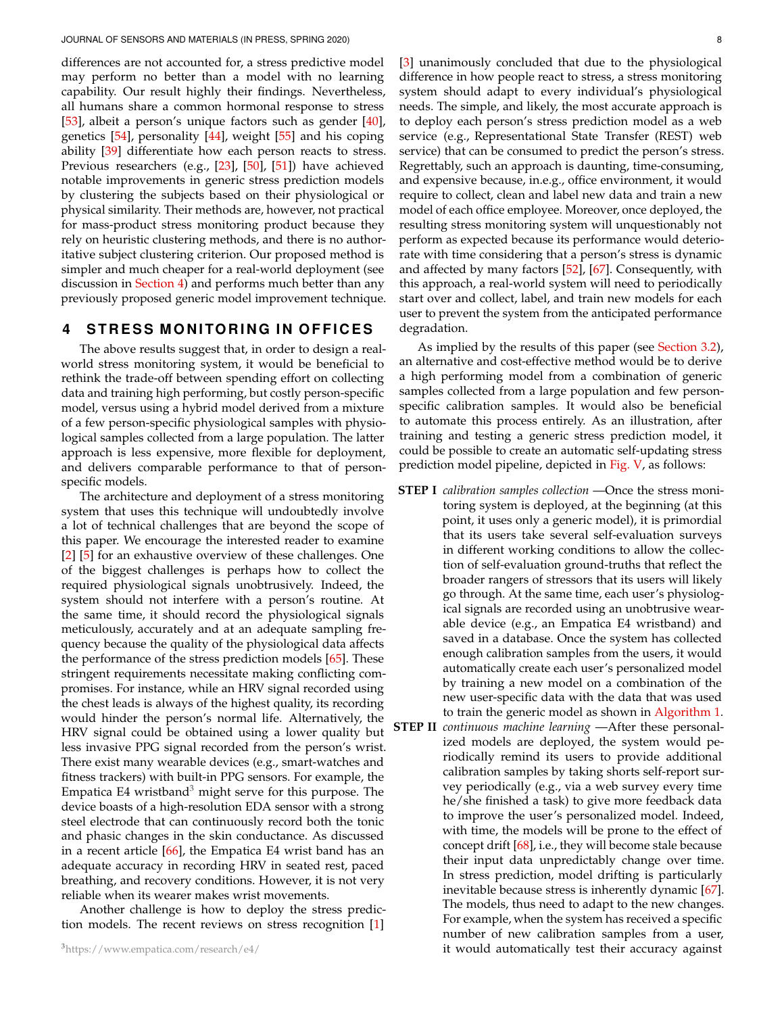differences are not accounted for, a stress predictive model may perform no better than a model with no learning capability. Our result highly their findings. Nevertheless, all humans share a common hormonal response to stress [\[53\]](#page-11-11), albeit a person's unique factors such as gender [\[40\]](#page-10-39), genetics [\[54\]](#page-11-12), personality [\[44\]](#page-11-2), weight [\[55\]](#page-11-13) and his coping ability [\[39\]](#page-10-38) differentiate how each person reacts to stress. Previous researchers (e.g., [\[23\]](#page-10-22), [\[50\]](#page-11-8), [\[51\]](#page-11-9)) have achieved notable improvements in generic stress prediction models by clustering the subjects based on their physiological or physical similarity. Their methods are, however, not practical for mass-product stress monitoring product because they rely on heuristic clustering methods, and there is no authoritative subject clustering criterion. Our proposed method is simpler and much cheaper for a real-world deployment (see discussion in [Section 4\)](#page-7-0) and performs much better than any previously proposed generic model improvement technique.

# <span id="page-7-0"></span>**4 S T R E S S M O N I TO R I N G I N O F F I C E S**

The above results suggest that, in order to design a realworld stress monitoring system, it would be beneficial to rethink the trade-off between spending effort on collecting data and training high performing, but costly person-specific model, versus using a hybrid model derived from a mixture of a few person-specific physiological samples with physiological samples collected from a large population. The latter approach is less expensive, more flexible for deployment, and delivers comparable performance to that of personspecific models.

The architecture and deployment of a stress monitoring system that uses this technique will undoubtedly involve a lot of technical challenges that are beyond the scope of this paper. We encourage the interested reader to examine [\[2\]](#page-10-1) [\[5\]](#page-10-4) for an exhaustive overview of these challenges. One of the biggest challenges is perhaps how to collect the required physiological signals unobtrusively. Indeed, the system should not interfere with a person's routine. At the same time, it should record the physiological signals meticulously, accurately and at an adequate sampling frequency because the quality of the physiological data affects the performance of the stress prediction models [\[65\]](#page-11-23). These stringent requirements necessitate making conflicting compromises. For instance, while an HRV signal recorded using the chest leads is always of the highest quality, its recording would hinder the person's normal life. Alternatively, the HRV signal could be obtained using a lower quality but less invasive PPG signal recorded from the person's wrist. There exist many wearable devices (e.g., smart-watches and fitness trackers) with built-in PPG sensors. For example, the Empatica E4 wristband<sup>[3](#page-7-1)</sup> might serve for this purpose. The device boasts of a high-resolution EDA sensor with a strong steel electrode that can continuously record both the tonic and phasic changes in the skin conductance. As discussed in a recent article [\[66\]](#page-11-24), the Empatica E4 wrist band has an adequate accuracy in recording HRV in seated rest, paced breathing, and recovery conditions. However, it is not very reliable when its wearer makes wrist movements.

<span id="page-7-1"></span>Another challenge is how to deploy the stress prediction models. The recent reviews on stress recognition [\[1\]](#page-10-0)

[\[3\]](#page-10-2) unanimously concluded that due to the physiological difference in how people react to stress, a stress monitoring system should adapt to every individual's physiological needs. The simple, and likely, the most accurate approach is to deploy each person's stress prediction model as a web service (e.g., Representational State Transfer (REST) web service) that can be consumed to predict the person's stress. Regrettably, such an approach is daunting, time-consuming, and expensive because, in.e.g., office environment, it would require to collect, clean and label new data and train a new model of each office employee. Moreover, once deployed, the resulting stress monitoring system will unquestionably not perform as expected because its performance would deteriorate with time considering that a person's stress is dynamic and affected by many factors [\[52\]](#page-11-10), [\[67\]](#page-11-25). Consequently, with this approach, a real-world system will need to periodically start over and collect, label, and train new models for each user to prevent the system from the anticipated performance degradation.

As implied by the results of this paper (see [Section 3.2\)](#page-5-2), an alternative and cost-effective method would be to derive a high performing model from a combination of generic samples collected from a large population and few personspecific calibration samples. It would also be beneficial to automate this process entirely. As an illustration, after training and testing a generic stress prediction model, it could be possible to create an automatic self-updating stress prediction model pipeline, depicted in [Fig. V,](#page-8-0) as follows:

- **STEP I** *calibration samples collection* —Once the stress monitoring system is deployed, at the beginning (at this point, it uses only a generic model), it is primordial that its users take several self-evaluation surveys in different working conditions to allow the collection of self-evaluation ground-truths that reflect the broader rangers of stressors that its users will likely go through. At the same time, each user's physiological signals are recorded using an unobtrusive wearable device (e.g., an Empatica E4 wristband) and saved in a database. Once the system has collected enough calibration samples from the users, it would automatically create each user's personalized model by training a new model on a combination of the new user-specific data with the data that was used to train the generic model as shown in [Algorithm 1.](#page-4-1)
- <span id="page-7-2"></span>**STEP II** *continuous machine learning* —After these personalized models are deployed, the system would periodically remind its users to provide additional calibration samples by taking shorts self-report survey periodically (e.g., via a web survey every time he/she finished a task) to give more feedback data to improve the user's personalized model. Indeed, with time, the models will be prone to the effect of concept drift [\[68\]](#page-11-26), i.e., they will become stale because their input data unpredictably change over time. In stress prediction, model drifting is particularly inevitable because stress is inherently dynamic [\[67\]](#page-11-25). The models, thus need to adapt to the new changes. For example, when the system has received a specific number of new calibration samples from a user, it would automatically test their accuracy against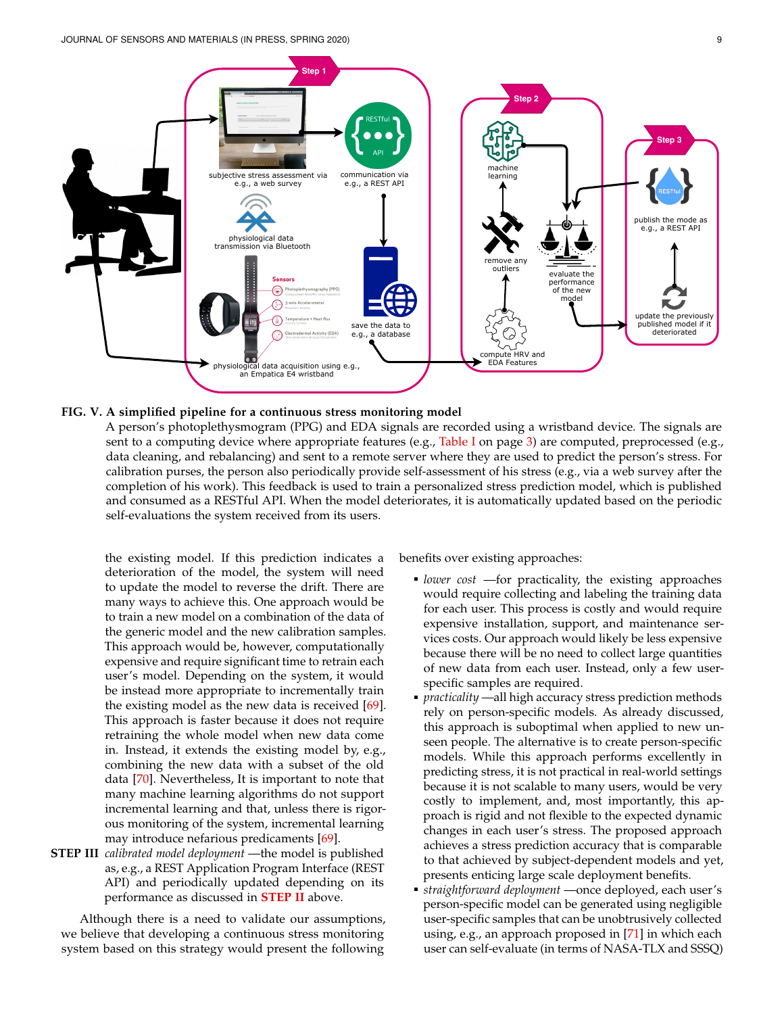<span id="page-8-0"></span>

#### **FIG. V. A simplified pipeline for a continuous stress monitoring model**

A person's photoplethysmogram (PPG) and EDA signals are recorded using a wristband device. The signals are sent to a computing device where appropriate features (e.g., [Table I](#page-2-0) on page [3\)](#page-2-0) are computed, preprocessed (e.g., data cleaning, and rebalancing) and sent to a remote server where they are used to predict the person's stress. For calibration purses, the person also periodically provide self-assessment of his stress (e.g., via a web survey after the completion of his work). This feedback is used to train a personalized stress prediction model, which is published and consumed as a RESTful API. When the model deteriorates, it is automatically updated based on the periodic self-evaluations the system received from its users.

the existing model. If this prediction indicates a deterioration of the model, the system will need to update the model to reverse the drift. There are many ways to achieve this. One approach would be to train a new model on a combination of the data of the generic model and the new calibration samples. This approach would be, however, computationally expensive and require significant time to retrain each user's model. Depending on the system, it would be instead more appropriate to incrementally train the existing model as the new data is received [\[69\]](#page-11-27). This approach is faster because it does not require retraining the whole model when new data come in. Instead, it extends the existing model by, e.g., combining the new data with a subset of the old data [\[70\]](#page-11-28). Nevertheless, It is important to note that many machine learning algorithms do not support incremental learning and that, unless there is rigorous monitoring of the system, incremental learning may introduce nefarious predicaments [\[69\]](#page-11-27).

**STEP III** *calibrated model deployment* —the model is published as, e.g., a REST Application Program Interface (REST API) and periodically updated depending on its performance as discussed in **[STEP II](#page-7-2)** above.

Although there is a need to validate our assumptions, we believe that developing a continuous stress monitoring system based on this strategy would present the following

benefits over existing approaches:

- *lower cost* —for practicality, the existing approaches would require collecting and labeling the training data for each user. This process is costly and would require expensive installation, support, and maintenance services costs. Our approach would likely be less expensive because there will be no need to collect large quantities of new data from each user. Instead, only a few userspecific samples are required.
- *practicality* —all high accuracy stress prediction methods rely on person-specific models. As already discussed, this approach is suboptimal when applied to new unseen people. The alternative is to create person-specific models. While this approach performs excellently in predicting stress, it is not practical in real-world settings because it is not scalable to many users, would be very costly to implement, and, most importantly, this approach is rigid and not flexible to the expected dynamic changes in each user's stress. The proposed approach achieves a stress prediction accuracy that is comparable to that achieved by subject-dependent models and yet, presents enticing large scale deployment benefits.
- *straightforward deployment* —once deployed, each user's person-specific model can be generated using negligible user-specific samples that can be unobtrusively collected using, e.g., an approach proposed in [\[71\]](#page-11-29) in which each user can self-evaluate (in terms of NASA-TLX and SSSQ)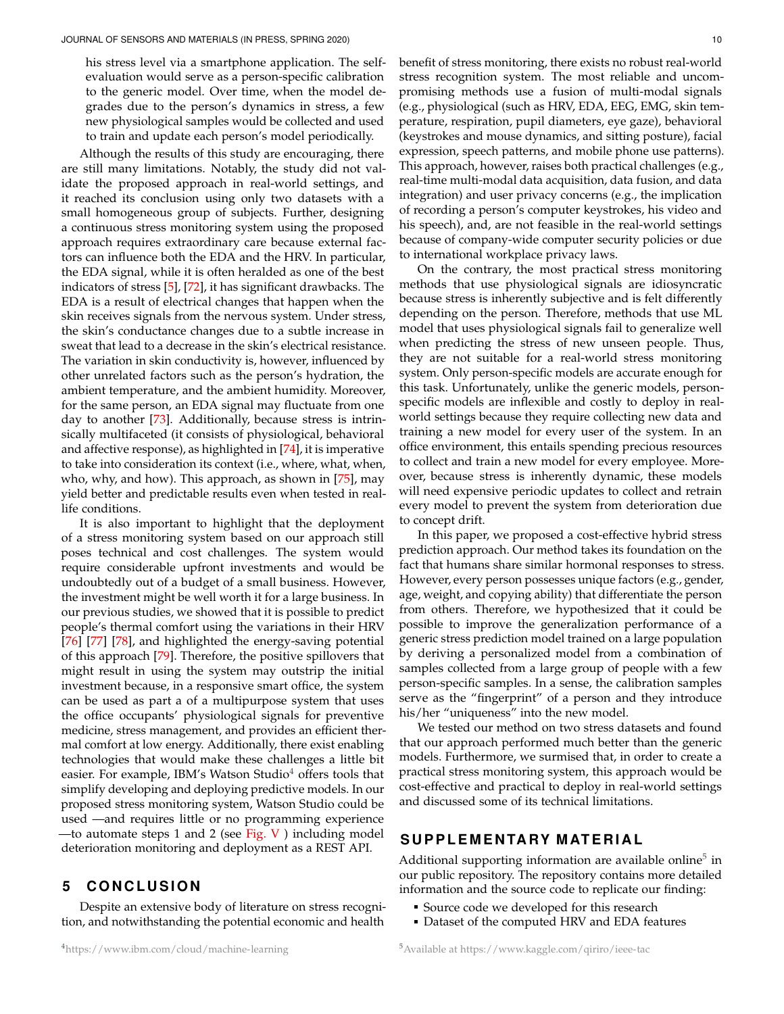his stress level via a smartphone application. The selfevaluation would serve as a person-specific calibration to the generic model. Over time, when the model degrades due to the person's dynamics in stress, a few new physiological samples would be collected and used to train and update each person's model periodically.

Although the results of this study are encouraging, there are still many limitations. Notably, the study did not validate the proposed approach in real-world settings, and it reached its conclusion using only two datasets with a small homogeneous group of subjects. Further, designing a continuous stress monitoring system using the proposed approach requires extraordinary care because external factors can influence both the EDA and the HRV. In particular, the EDA signal, while it is often heralded as one of the best indicators of stress [\[5\]](#page-10-4), [\[72\]](#page-11-30), it has significant drawbacks. The EDA is a result of electrical changes that happen when the skin receives signals from the nervous system. Under stress, the skin's conductance changes due to a subtle increase in sweat that lead to a decrease in the skin's electrical resistance. The variation in skin conductivity is, however, influenced by other unrelated factors such as the person's hydration, the ambient temperature, and the ambient humidity. Moreover, for the same person, an EDA signal may fluctuate from one day to another [\[73\]](#page-11-31). Additionally, because stress is intrinsically multifaceted (it consists of physiological, behavioral and affective response), as highlighted in [\[74\]](#page-11-32), it is imperative to take into consideration its context (i.e., where, what, when, who, why, and how). This approach, as shown in [\[75\]](#page-11-33), may yield better and predictable results even when tested in reallife conditions.

It is also important to highlight that the deployment of a stress monitoring system based on our approach still poses technical and cost challenges. The system would require considerable upfront investments and would be undoubtedly out of a budget of a small business. However, the investment might be well worth it for a large business. In our previous studies, we showed that it is possible to predict people's thermal comfort using the variations in their HRV [\[76\]](#page-11-34) [\[77\]](#page-11-35) [\[78\]](#page-11-36), and highlighted the energy-saving potential of this approach [\[79\]](#page-11-37). Therefore, the positive spillovers that might result in using the system may outstrip the initial investment because, in a responsive smart office, the system can be used as part a of a multipurpose system that uses the office occupants' physiological signals for preventive medicine, stress management, and provides an efficient thermal comfort at low energy. Additionally, there exist enabling technologies that would make these challenges a little bit easier. For example, IBM's Watson Studio $4$  offers tools that simplify developing and deploying predictive models. In our proposed stress monitoring system, Watson Studio could be used —and requires little or no programming experience —to automate steps 1 and 2 (see [Fig. V](#page-8-0) ) including model deterioration monitoring and deployment as a REST API.

## **5 C O N C L U S I O N**

<span id="page-9-1"></span>Despite an extensive body of literature on stress recognition, and notwithstanding the potential economic and health

benefit of stress monitoring, there exists no robust real-world stress recognition system. The most reliable and uncompromising methods use a fusion of multi-modal signals (e.g., physiological (such as HRV, EDA, EEG, EMG, skin temperature, respiration, pupil diameters, eye gaze), behavioral (keystrokes and mouse dynamics, and sitting posture), facial expression, speech patterns, and mobile phone use patterns). This approach, however, raises both practical challenges (e.g., real-time multi-modal data acquisition, data fusion, and data integration) and user privacy concerns (e.g., the implication of recording a person's computer keystrokes, his video and his speech), and, are not feasible in the real-world settings because of company-wide computer security policies or due to international workplace privacy laws.

On the contrary, the most practical stress monitoring methods that use physiological signals are idiosyncratic because stress is inherently subjective and is felt differently depending on the person. Therefore, methods that use ML model that uses physiological signals fail to generalize well when predicting the stress of new unseen people. Thus, they are not suitable for a real-world stress monitoring system. Only person-specific models are accurate enough for this task. Unfortunately, unlike the generic models, personspecific models are inflexible and costly to deploy in realworld settings because they require collecting new data and training a new model for every user of the system. In an office environment, this entails spending precious resources to collect and train a new model for every employee. Moreover, because stress is inherently dynamic, these models will need expensive periodic updates to collect and retrain every model to prevent the system from deterioration due to concept drift.

In this paper, we proposed a cost-effective hybrid stress prediction approach. Our method takes its foundation on the fact that humans share similar hormonal responses to stress. However, every person possesses unique factors (e.g., gender, age, weight, and copying ability) that differentiate the person from others. Therefore, we hypothesized that it could be possible to improve the generalization performance of a generic stress prediction model trained on a large population by deriving a personalized model from a combination of samples collected from a large group of people with a few person-specific samples. In a sense, the calibration samples serve as the "fingerprint" of a person and they introduce his/her "uniqueness" into the new model.

We tested our method on two stress datasets and found that our approach performed much better than the generic models. Furthermore, we surmised that, in order to create a practical stress monitoring system, this approach would be cost-effective and practical to deploy in real-world settings and discussed some of its technical limitations.

# <span id="page-9-0"></span>SUPPLEMENTARY MATERIAL

Additional supporting information are available online<sup>[5](#page-9-2)</sup> in our public repository. The repository contains more detailed information and the source code to replicate our finding:

- Source code we developed for this research
- <span id="page-9-2"></span>Dataset of the computed HRV and EDA features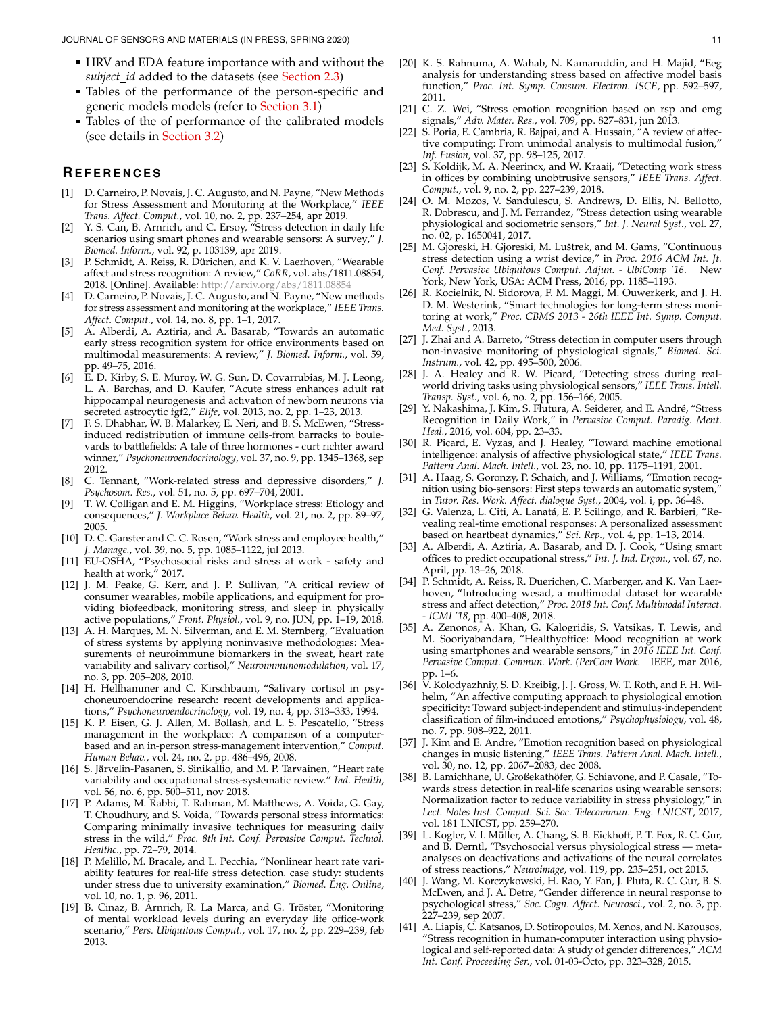JOURNAL OF SENSORS AND MATERIALS (IN PRESS, SPRING 2020) 11

- HRV and EDA feature importance with and without the *subject id* added to the datasets (see [Section 2.3\)](#page-3-8)
- Tables of the performance of the person-specific and generic models models (refer to [Section 3.1\)](#page-4-3)
- Tables of the of performance of the calibrated models (see details in [Section 3.2\)](#page-5-2)

## **R E F E R E N C E S**

- <span id="page-10-0"></span>[1] D. Carneiro, P. Novais, J. C. Augusto, and N. Payne, "New Methods for Stress Assessment and Monitoring at the Workplace," *IEEE Trans. Affect. Comput.*, vol. 10, no. 2, pp. 237–254, apr 2019.
- <span id="page-10-1"></span>[2] Y. S. Can, B. Arnrich, and C. Ersoy, "Stress detection in daily life scenarios using smart phones and wearable sensors: A survey," *J. Biomed. Inform.*, vol. 92, p. 103139, apr 2019.
- <span id="page-10-2"></span>P. Schmidt, A. Reiss, R. Dürichen, and K. V. Laerhoven, "Wearable affect and stress recognition: A review," *CoRR*, vol. abs/1811.08854, 2018. [Online]. Available: <http://arxiv.org/abs/1811.08854>
- <span id="page-10-3"></span>[4] D. Carneiro, P. Novais, J. C. Augusto, and N. Payne, "New methods for stress assessment and monitoring at the workplace," *IEEE Trans. Affect. Comput.*, vol. 14, no. 8, pp. 1–1, 2017.
- <span id="page-10-4"></span>[5] A. Alberdi, A. Aztiria, and A. Basarab, "Towards an automatic early stress recognition system for office environments based on multimodal measurements: A review," *J. Biomed. Inform.*, vol. 59, pp. 49–75, 2016.
- <span id="page-10-5"></span>[6] E. D. Kirby, S. E. Muroy, W. G. Sun, D. Covarrubias, M. J. Leong, L. A. Barchas, and D. Kaufer, "Acute stress enhances adult rat hippocampal neurogenesis and activation of newborn neurons via secreted astrocytic fgf2," *Elife*, vol. 2013, no. 2, pp. 1–23, 2013.
- <span id="page-10-6"></span>[7] F. S. Dhabhar, W. B. Malarkey, E. Neri, and B. S. McEwen, "Stressinduced redistribution of immune cells-from barracks to boulevards to battlefields: A tale of three hormones - curt richter award winner," *Psychoneuroendocrinology*, vol. 37, no. 9, pp. 1345–1368, sep 2012.
- <span id="page-10-7"></span>[8] C. Tennant, "Work-related stress and depressive disorders," *J. Psychosom. Res.*, vol. 51, no. 5, pp. 697–704, 2001.
- <span id="page-10-8"></span>[9] T. W. Colligan and E. M. Higgins, "Workplace stress: Etiology and consequences," *J. Workplace Behav. Health*, vol. 21, no. 2, pp. 89–97, 2005.
- <span id="page-10-9"></span>[10] D. C. Ganster and C. C. Rosen, "Work stress and employee health," *J. Manage.*, vol. 39, no. 5, pp. 1085–1122, jul 2013.
- <span id="page-10-10"></span>[11] EU-OSHA, "Psychosocial risks and stress at work - safety and health at work," 2017.
- <span id="page-10-11"></span>[12] J. M. Peake, G. Kerr, and J. P. Sullivan, "A critical review of consumer wearables, mobile applications, and equipment for providing biofeedback, monitoring stress, and sleep in physically active populations," *Front. Physiol.*, vol. 9, no. JUN, pp. 1–19, 2018.
- <span id="page-10-12"></span>[13] A. H. Marques, M. N. Silverman, and E. M. Sternberg, "Evaluation of stress systems by applying noninvasive methodologies: Measurements of neuroimmune biomarkers in the sweat, heart rate variability and salivary cortisol," *Neuroimmunomodulation*, vol. 17, no. 3, pp. 205–208, 2010.
- <span id="page-10-13"></span>[14] H. Hellhammer and C. Kirschbaum, "Salivary cortisol in psychoneuroendocrine research: recent developments and applications," *Psychoneuroendocrinology*, vol. 19, no. 4, pp. 313–333, 1994.
- <span id="page-10-14"></span>[15] K. P. Eisen, G. J. Allen, M. Bollash, and L. S. Pescatello, "Stress management in the workplace: A comparison of a computerbased and an in-person stress-management intervention," *Comput. Human Behav.*, vol. 24, no. 2, pp. 486–496, 2008.
- <span id="page-10-15"></span>[16] S. Järvelin-Pasanen, S. Sinikallio, and M. P. Tarvainen, "Heart rate variability and occupational stress-systematic review." *Ind. Health*, vol. 56, no. 6, pp. 500–511, nov 2018.
- <span id="page-10-16"></span>[17] P. Adams, M. Rabbi, T. Rahman, M. Matthews, A. Voida, G. Gay, T. Choudhury, and S. Voida, "Towards personal stress informatics: Comparing minimally invasive techniques for measuring daily stress in the wild," *Proc. 8th Int. Conf. Pervasive Comput. Technol. Healthc.*, pp. 72–79, 2014.
- <span id="page-10-17"></span>[18] P. Melillo, M. Bracale, and L. Pecchia, "Nonlinear heart rate variability features for real-life stress detection. case study: students under stress due to university examination," *Biomed. Eng. Online*, vol. 10, no. 1, p. 96, 2011.
- <span id="page-10-18"></span>[19] B. Cinaz, B. Arnrich, R. La Marca, and G. Tröster, "Monitoring of mental workload levels during an everyday life office-work scenario," *Pers. Ubiquitous Comput.*, vol. 17, no. 2, pp. 229–239, feb 2013.
- <span id="page-10-19"></span>[20] K. S. Rahnuma, A. Wahab, N. Kamaruddin, and H. Majid, "Eeg analysis for understanding stress based on affective model basis function," *Proc. Int. Symp. Consum. Electron. ISCE*, pp. 592–597, 2011.
- <span id="page-10-20"></span>[21] C. Z. Wei, "Stress emotion recognition based on rsp and emg signals," *Adv. Mater. Res.*, vol. 709, pp. 827–831, jun 2013.
- <span id="page-10-21"></span>[22] S. Poria, E. Cambria, R. Bajpai, and A. Hussain, "A review of affective computing: From unimodal analysis to multimodal fusion," *Inf. Fusion*, vol. 37, pp. 98–125, 2017.
- <span id="page-10-22"></span>[23] S. Koldijk, M. A. Neerincx, and W. Kraaij, "Detecting work stress in offices by combining unobtrusive sensors," *IEEE Trans. Affect. Comput.*, vol. 9, no. 2, pp. 227–239, 2018.
- <span id="page-10-23"></span>[24] O. M. Mozos, V. Sandulescu, S. Andrews, D. Ellis, N. Bellotto, R. Dobrescu, and J. M. Ferrandez, "Stress detection using wearable physiological and sociometric sensors," *Int. J. Neural Syst.*, vol. 27, no. 02, p. 1650041, 2017.
- <span id="page-10-24"></span>[25] M. Gjoreski, H. Gjoreski, M. Luštrek, and M. Gams, "Continuous stress detection using a wrist device," in *Proc. 2016 ACM Int. Jt. Conf. Pervasive Ubiquitous Comput. Adjun. - UbiComp '16*. New York, New York, USA: ACM Press, 2016, pp. 1185–1193.
- <span id="page-10-25"></span>[26] R. Kocielnik, N. Sidorova, F. M. Maggi, M. Ouwerkerk, and J. H. D. M. Westerink, "Smart technologies for long-term stress monitoring at work," *Proc. CBMS 2013 - 26th IEEE Int. Symp. Comput. Med. Syst.*, 2013.
- <span id="page-10-26"></span>[27] J. Zhai and A. Barreto, "Stress detection in computer users through non-invasive monitoring of physiological signals," *Biomed. Sci. Instrum.*, vol. 42, pp. 495–500, 2006.
- <span id="page-10-27"></span>[28] J. A. Healey and R. W. Picard, "Detecting stress during realworld driving tasks using physiological sensors," *IEEE Trans. Intell. Transp. Syst.*, vol. 6, no. 2, pp. 156–166, 2005.
- <span id="page-10-28"></span>[29] Y. Nakashima, J. Kim, S. Flutura, A. Seiderer, and E. André, "Stress Recognition in Daily Work," in *Pervasive Comput. Paradig. Ment. Heal.*, 2016, vol. 604, pp. 23–33.
- <span id="page-10-29"></span>[30] R. Picard, E. Vyzas, and J. Healey, "Toward machine emotional intelligence: analysis of affective physiological state," *IEEE Trans. Pattern Anal. Mach. Intell.*, vol. 23, no. 10, pp. 1175–1191, 2001.
- <span id="page-10-30"></span>[31] A. Haag, S. Goronzy, P. Schaich, and J. Williams, "Emotion recognition using bio-sensors: First steps towards an automatic system, in *Tutor. Res. Work. Affect. dialogue Syst.*, 2004, vol. i, pp. 36–48.
- <span id="page-10-31"></span>[32] G. Valenza, L. Citi, A. Lanatá, E. P. Scilingo, and R. Barbieri, "Revealing real-time emotional responses: A personalized assessment based on heartbeat dynamics," *Sci. Rep.*, vol. 4, pp. 1–13, 2014.
- <span id="page-10-32"></span>[33] A. Alberdi, A. Aztiria, A. Basarab, and D. J. Cook, "Using smart offices to predict occupational stress," *Int. J. Ind. Ergon.*, vol. 67, no. April, pp. 13–26, 2018.
- <span id="page-10-33"></span>[34] P. Schmidt, A. Reiss, R. Duerichen, C. Marberger, and K. Van Laerhoven, "Introducing wesad, a multimodal dataset for wearable stress and affect detection," *Proc. 2018 Int. Conf. Multimodal Interact. - ICMI '18*, pp. 400–408, 2018.
- <span id="page-10-34"></span>[35] A. Zenonos, A. Khan, G. Kalogridis, S. Vatsikas, T. Lewis, and M. Sooriyabandara, "Healthyoffice: Mood recognition at work using smartphones and wearable sensors," in *2016 IEEE Int. Conf. Pervasive Comput. Commun. Work. (PerCom Work.* IEEE, mar 2016, pp. 1–6.
- <span id="page-10-35"></span>[36] V. Kolodyazhniy, S. D. Kreibig, J. J. Gross, W. T. Roth, and F. H. Wilhelm, "An affective computing approach to physiological emotion specificity: Toward subject-independent and stimulus-independent classification of film-induced emotions," *Psychophysiology*, vol. 48, no. 7, pp. 908–922, 2011.
- <span id="page-10-36"></span>[37] J. Kim and E. Andre, "Emotion recognition based on physiological changes in music listening," *IEEE Trans. Pattern Anal. Mach. Intell.*, vol. 30, no. 12, pp. 2067–2083, dec 2008.
- <span id="page-10-37"></span>[38] B. Lamichhane, U. Großekathöfer, G. Schiavone, and P. Casale, "Towards stress detection in real-life scenarios using wearable sensors: Normalization factor to reduce variability in stress physiology," in *Lect. Notes Inst. Comput. Sci. Soc. Telecommun. Eng. LNICST*, 2017, vol. 181 LNICST, pp. 259–270.
- <span id="page-10-38"></span>[39] L. Kogler, V. I. Müller, A. Chang, S. B. Eickhoff, P. T. Fox, R. C. Gur, and B. Derntl, "Psychosocial versus physiological stress — metaanalyses on deactivations and activations of the neural correlates of stress reactions," *Neuroimage*, vol. 119, pp. 235–251, oct 2015.
- <span id="page-10-39"></span>[40] J. Wang, M. Korczykowski, H. Rao, Y. Fan, J. Pluta, R. C. Gur, B. S. McEwen, and J. A. Detre, "Gender difference in neural response to psychological stress," *Soc. Cogn. Affect. Neurosci.*, vol. 2, no. 3, pp. 227–239, sep 2007.
- <span id="page-10-40"></span>[41] A. Liapis, C. Katsanos, D. Sotiropoulos, M. Xenos, and N. Karousos, "Stress recognition in human-computer interaction using physiological and self-reported data: A study of gender differences," *ACM Int. Conf. Proceeding Ser.*, vol. 01-03-Octo, pp. 323–328, 2015.